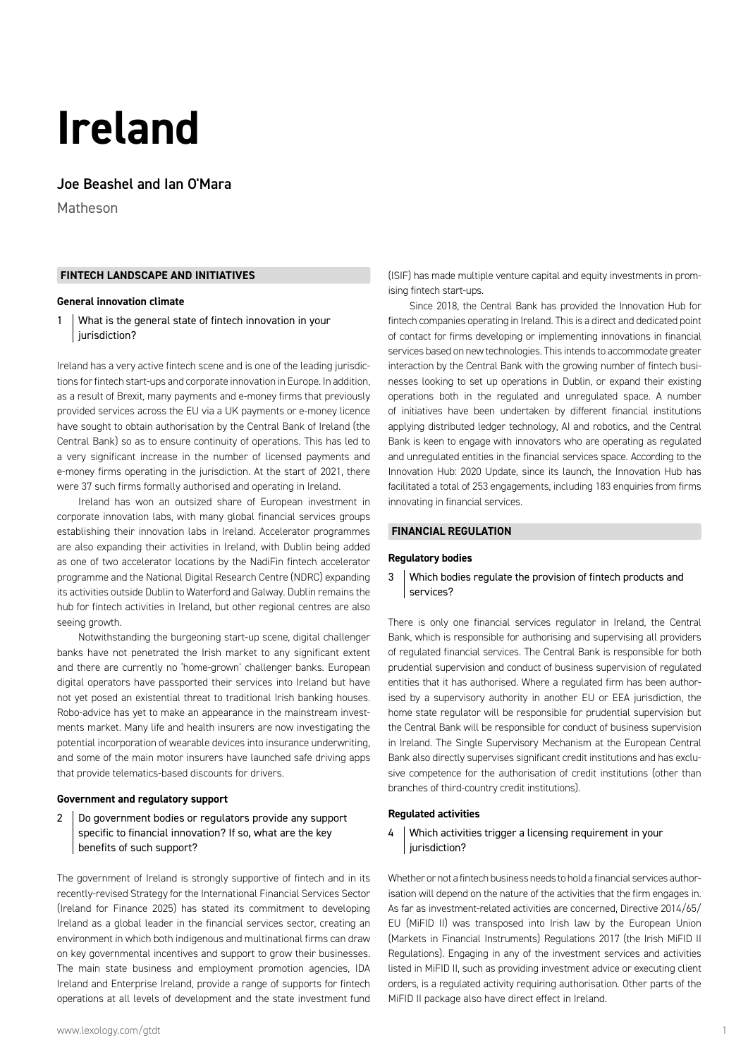# **Ireland**

# Joe Beashel and Ian O'Mara

Matheson

#### **FINTECH LANDSCAPE AND INITIATIVES**

#### **General innovation climate**

1 What is the general state of fintech innovation in your | jurisdiction?

Ireland has a very active fintech scene and is one of the leading jurisdictions for fintech start-ups and corporate innovation in Europe. In addition, as a result of Brexit, many payments and e-money firms that previously provided services across the EU via a UK payments or e-money licence have sought to obtain authorisation by the Central Bank of Ireland (the Central Bank) so as to ensure continuity of operations. This has led to a very significant increase in the number of licensed payments and e-money firms operating in the jurisdiction. At the start of 2021, there were 37 such firms formally authorised and operating in Ireland.

Ireland has won an outsized share of European investment in corporate innovation labs, with many global financial services groups establishing their innovation labs in Ireland. Accelerator programmes are also expanding their activities in Ireland, with Dublin being added as one of two accelerator locations by the NadiFin fintech accelerator programme and the National Digital Research Centre (NDRC) expanding its activities outside Dublin to Waterford and Galway. Dublin remains the hub for fintech activities in Ireland, but other regional centres are also seeing growth.

Notwithstanding the burgeoning start-up scene, digital challenger banks have not penetrated the Irish market to any significant extent and there are currently no 'home-grown' challenger banks. European digital operators have passported their services into Ireland but have not yet posed an existential threat to traditional Irish banking houses. Robo-advice has yet to make an appearance in the mainstream investments market. Many life and health insurers are now investigating the potential incorporation of wearable devices into insurance underwriting, and some of the main motor insurers have launched safe driving apps that provide telematics-based discounts for drivers.

#### **Government and regulatory support**

2 Do government bodies or regulators provide any support specific to financial innovation? If so, what are the key benefits of such support?

The government of Ireland is strongly supportive of fintech and in its recently-revised Strategy for the International Financial Services Sector (Ireland for Finance 2025) has stated its commitment to developing Ireland as a global leader in the financial services sector, creating an environment in which both indigenous and multinational firms can draw on key governmental incentives and support to grow their businesses. The main state business and employment promotion agencies, IDA Ireland and Enterprise Ireland, provide a range of supports for fintech operations at all levels of development and the state investment fund (ISIF) has made multiple venture capital and equity investments in promising fintech start-ups.

Since 2018, the Central Bank has provided the Innovation Hub for fintech companies operating in Ireland. This is a direct and dedicated point of contact for firms developing or implementing innovations in financial services based on new technologies. This intends to accommodate greater interaction by the Central Bank with the growing number of fintech businesses looking to set up operations in Dublin, or expand their existing operations both in the regulated and unregulated space. A number of initiatives have been undertaken by different financial institutions applying distributed ledger technology, AI and robotics, and the Central Bank is keen to engage with innovators who are operating as regulated and unregulated entities in the financial services space. According to the Innovation Hub: 2020 Update, since its launch, the Innovation Hub has facilitated a total of 253 engagements, including 183 enquiries from firms innovating in financial services.

#### **FINANCIAL REGULATION**

#### **Regulatory bodies**

# 3 Which bodies regulate the provision of fintech products and services?

There is only one financial services regulator in Ireland, the Central Bank, which is responsible for authorising and supervising all providers of regulated financial services. The Central Bank is responsible for both prudential supervision and conduct of business supervision of regulated entities that it has authorised. Where a regulated firm has been authorised by a supervisory authority in another EU or EEA jurisdiction, the home state regulator will be responsible for prudential supervision but the Central Bank will be responsible for conduct of business supervision in Ireland. The Single Supervisory Mechanism at the European Central Bank also directly supervises significant credit institutions and has exclusive competence for the authorisation of credit institutions (other than branches of third-country credit institutions).

# **Regulated activities**

4 Which activities trigger a licensing requirement in your jurisdiction?

Whether or not a fintech business needs to hold a financial services authorisation will depend on the nature of the activities that the firm engages in. As far as investment-related activities are concerned, Directive 2014/65/ EU (MiFID II) was transposed into Irish law by the European Union (Markets in Financial Instruments) Regulations 2017 (the Irish MiFID II Regulations). Engaging in any of the investment services and activities listed in MiFID II, such as providing investment advice or executing client orders, is a regulated activity requiring authorisation. Other parts of the MiFID II package also have direct effect in Ireland.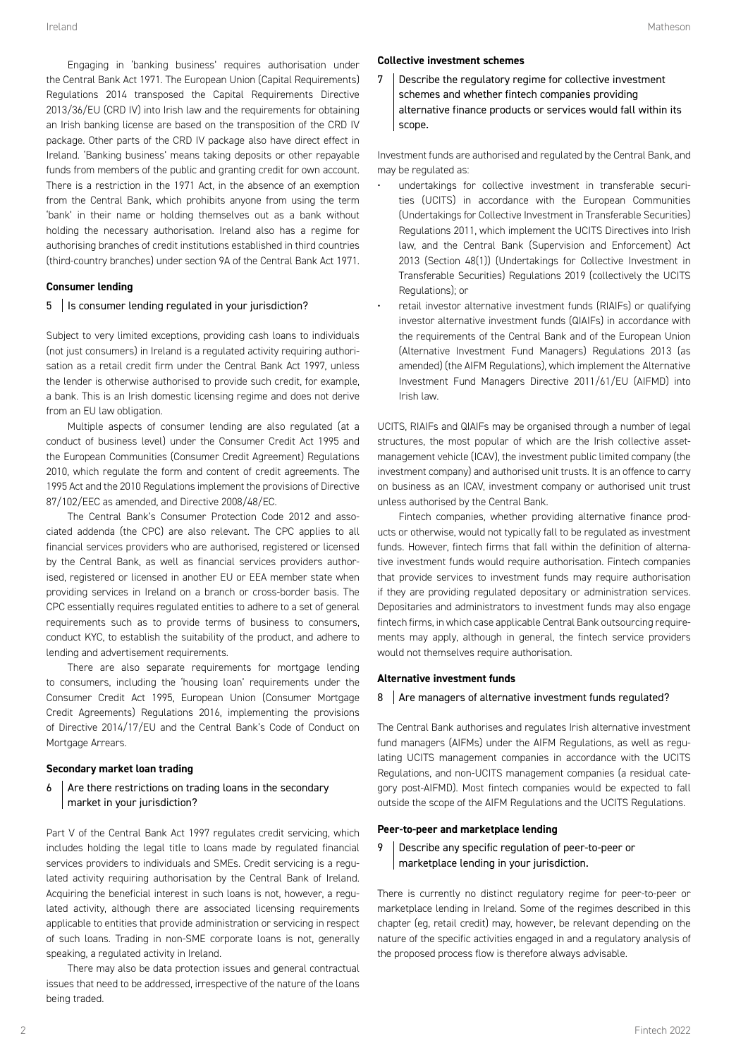Engaging in 'banking business' requires authorisation under the Central Bank Act 1971. The European Union (Capital Requirements) Regulations 2014 transposed the Capital Requirements Directive 2013/36/EU (CRD IV) into Irish law and the requirements for obtaining an Irish banking license are based on the transposition of the CRD IV package. Other parts of the CRD IV package also have direct effect in Ireland. 'Banking business' means taking deposits or other repayable funds from members of the public and granting credit for own account. There is a restriction in the 1971 Act, in the absence of an exemption from the Central Bank, which prohibits anyone from using the term 'bank' in their name or holding themselves out as a bank without holding the necessary authorisation. Ireland also has a regime for authorising branches of credit institutions established in third countries (third-country branches) under section 9A of the Central Bank Act 1971.

#### **Consumer lending**

#### 5 | Is consumer lending regulated in your jurisdiction?

Subject to very limited exceptions, providing cash loans to individuals (not just consumers) in Ireland is a regulated activity requiring authorisation as a retail credit firm under the Central Bank Act 1997, unless the lender is otherwise authorised to provide such credit, for example, a bank. This is an Irish domestic licensing regime and does not derive from an EU law obligation.

Multiple aspects of consumer lending are also regulated (at a conduct of business level) under the Consumer Credit Act 1995 and the European Communities (Consumer Credit Agreement) Regulations 2010, which regulate the form and content of credit agreements. The 1995 Act and the 2010 Regulations implement the provisions of Directive 87/102/EEC as amended, and Directive 2008/48/EC.

The Central Bank's Consumer Protection Code 2012 and associated addenda (the CPC) are also relevant. The CPC applies to all financial services providers who are authorised, registered or licensed by the Central Bank, as well as financial services providers authorised, registered or licensed in another EU or EEA member state when providing services in Ireland on a branch or cross-border basis. The CPC essentially requires regulated entities to adhere to a set of general requirements such as to provide terms of business to consumers, conduct KYC, to establish the suitability of the product, and adhere to lending and advertisement requirements.

There are also separate requirements for mortgage lending to consumers, including the 'housing loan' requirements under the Consumer Credit Act 1995, European Union (Consumer Mortgage Credit Agreements) Regulations 2016, implementing the provisions of Directive 2014/17/EU and the Central Bank's Code of Conduct on Mortgage Arrears.

### **Secondary market loan trading**

 $6$  Are there restrictions on trading loans in the secondary market in your jurisdiction?

Part V of the Central Bank Act 1997 regulates credit servicing, which includes holding the legal title to loans made by regulated financial services providers to individuals and SMEs. Credit servicing is a regulated activity requiring authorisation by the Central Bank of Ireland. Acquiring the beneficial interest in such loans is not, however, a regulated activity, although there are associated licensing requirements applicable to entities that provide administration or servicing in respect of such loans. Trading in non-SME corporate loans is not, generally speaking, a regulated activity in Ireland.

There may also be data protection issues and general contractual issues that need to be addressed, irrespective of the nature of the loans being traded.

#### **Collective investment schemes**

7 Describe the regulatory regime for collective investment schemes and whether fintech companies providing alternative finance products or services would fall within its scope.

Investment funds are authorised and regulated by the Central Bank, and may be regulated as:

- undertakings for collective investment in transferable securities (UCITS) in accordance with the European Communities (Undertakings for Collective Investment in Transferable Securities) Regulations 2011, which implement the UCITS Directives into Irish law, and the Central Bank (Supervision and Enforcement) Act 2013 (Section 48(1)) (Undertakings for Collective Investment in Transferable Securities) Regulations 2019 (collectively the UCITS Regulations); or
- retail investor alternative investment funds (RIAIFs) or qualifying investor alternative investment funds (QIAIFs) in accordance with the requirements of the Central Bank and of the European Union (Alternative Investment Fund Managers) Regulations 2013 (as amended) (the AIFM Regulations), which implement the Alternative Investment Fund Managers Directive 2011/61/EU (AIFMD) into Irish law.

UCITS, RIAIFs and QIAIFs may be organised through a number of legal structures, the most popular of which are the Irish collective assetmanagement vehicle (ICAV), the investment public limited company (the investment company) and authorised unit trusts. It is an offence to carry on business as an ICAV, investment company or authorised unit trust unless authorised by the Central Bank.

Fintech companies, whether providing alternative finance products or otherwise, would not typically fall to be regulated as investment funds. However, fintech firms that fall within the definition of alternative investment funds would require authorisation. Fintech companies that provide services to investment funds may require authorisation if they are providing regulated depositary or administration services. Depositaries and administrators to investment funds may also engage fintech firms, in which case applicable Central Bank outsourcing requirements may apply, although in general, the fintech service providers would not themselves require authorisation.

#### **Alternative investment funds**

#### 8 Are managers of alternative investment funds regulated?

The Central Bank authorises and regulates Irish alternative investment fund managers (AIFMs) under the AIFM Regulations, as well as regulating UCITS management companies in accordance with the UCITS Regulations, and non-UCITS management companies (a residual category post-AIFMD). Most fintech companies would be expected to fall outside the scope of the AIFM Regulations and the UCITS Regulations.

#### **Peer-to-peer and marketplace lending**

# 9 Describe any specific regulation of peer-to-peer or marketplace lending in your jurisdiction.

There is currently no distinct regulatory regime for peer-to-peer or marketplace lending in Ireland. Some of the regimes described in this chapter (eg, retail credit) may, however, be relevant depending on the nature of the specific activities engaged in and a regulatory analysis of the proposed process flow is therefore always advisable.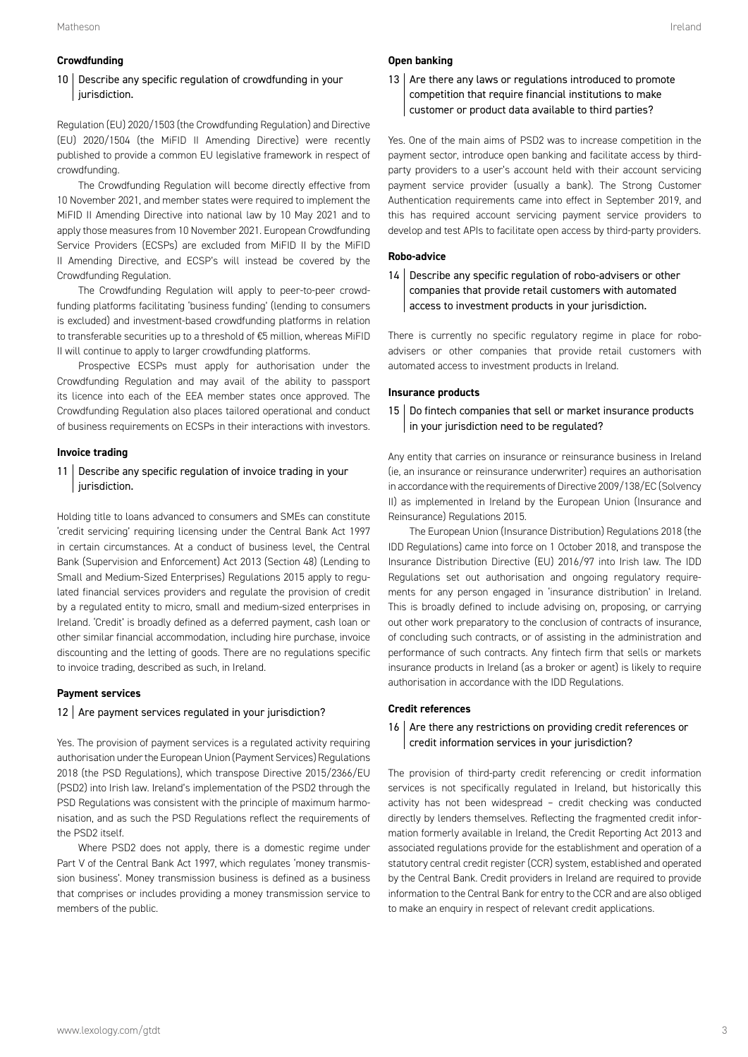#### **Crowdfunding**

# 10 | Describe any specific regulation of crowdfunding in your jurisdiction.

Regulation (EU) 2020/1503 (the Crowdfunding Regulation) and Directive (EU) 2020/1504 (the MiFID II Amending Directive) were recently published to provide a common EU legislative framework in respect of crowdfunding.

The Crowdfunding Regulation will become directly effective from 10 November 2021, and member states were required to implement the MiFID II Amending Directive into national law by 10 May 2021 and to apply those measures from 10 November 2021. European Crowdfunding Service Providers (ECSPs) are excluded from MiFID II by the MiFID II Amending Directive, and ECSP's will instead be covered by the Crowdfunding Regulation.

The Crowdfunding Regulation will apply to peer-to-peer crowdfunding platforms facilitating 'business funding' (lending to consumers is excluded) and investment-based crowdfunding platforms in relation to transferable securities up to a threshold of €5 million, whereas MiFID II will continue to apply to larger crowdfunding platforms.

Prospective ECSPs must apply for authorisation under the Crowdfunding Regulation and may avail of the ability to passport its licence into each of the EEA member states once approved. The Crowdfunding Regulation also places tailored operational and conduct of business requirements on ECSPs in their interactions with investors.

#### **Invoice trading**

# 11 | Describe any specific regulation of invoice trading in your jurisdiction.

Holding title to loans advanced to consumers and SMEs can constitute 'credit servicing' requiring licensing under the Central Bank Act 1997 in certain circumstances. At a conduct of business level, the Central Bank (Supervision and Enforcement) Act 2013 (Section 48) (Lending to Small and Medium-Sized Enterprises) Regulations 2015 apply to regulated financial services providers and regulate the provision of credit by a regulated entity to micro, small and medium-sized enterprises in Ireland. 'Credit' is broadly defined as a deferred payment, cash loan or other similar financial accommodation, including hire purchase, invoice discounting and the letting of goods. There are no regulations specific to invoice trading, described as such, in Ireland.

# **Payment services**

#### $12$  Are payment services regulated in your jurisdiction?

Yes. The provision of payment services is a regulated activity requiring authorisation under the European Union (Payment Services) Regulations 2018 (the PSD Regulations), which transpose Directive 2015/2366/EU (PSD2) into Irish law. Ireland's implementation of the PSD2 through the PSD Regulations was consistent with the principle of maximum harmonisation, and as such the PSD Regulations reflect the requirements of the PSD2 itself.

Where PSD2 does not apply, there is a domestic regime under Part V of the Central Bank Act 1997, which regulates 'money transmission business'. Money transmission business is defined as a business that comprises or includes providing a money transmission service to members of the public.

# **Open banking**

# 13 Are there any laws or regulations introduced to promote competition that require financial institutions to make customer or product data available to third parties?

Yes. One of the main aims of PSD2 was to increase competition in the payment sector, introduce open banking and facilitate access by thirdparty providers to a user's account held with their account servicing payment service provider (usually a bank). The Strong Customer Authentication requirements came into effect in September 2019, and this has required account servicing payment service providers to develop and test APIs to facilitate open access by third-party providers.

#### **Robo-advice**

14 Describe any specific regulation of robo-advisers or other companies that provide retail customers with automated access to investment products in your jurisdiction.

There is currently no specific regulatory regime in place for roboadvisers or other companies that provide retail customers with automated access to investment products in Ireland.

#### **Insurance products**

# 15 | Do fintech companies that sell or market insurance products in your jurisdiction need to be regulated?

Any entity that carries on insurance or reinsurance business in Ireland (ie, an insurance or reinsurance underwriter) requires an authorisation in accordance with the requirements of Directive 2009/138/EC (Solvency II) as implemented in Ireland by the European Union (Insurance and Reinsurance) Regulations 2015.

The European Union (Insurance Distribution) Regulations 2018 (the IDD Regulations) came into force on 1 October 2018, and transpose the Insurance Distribution Directive (EU) 2016/97 into Irish law. The IDD Regulations set out authorisation and ongoing regulatory requirements for any person engaged in 'insurance distribution' in Ireland. This is broadly defined to include advising on, proposing, or carrying out other work preparatory to the conclusion of contracts of insurance, of concluding such contracts, or of assisting in the administration and performance of such contracts. Any fintech firm that sells or markets insurance products in Ireland (as a broker or agent) is likely to require authorisation in accordance with the IDD Regulations.

# **Credit references**

#### 16 Are there any restrictions on providing credit references or credit information services in your jurisdiction?

The provision of third-party credit referencing or credit information services is not specifically regulated in Ireland, but historically this activity has not been widespread – credit checking was conducted directly by lenders themselves. Reflecting the fragmented credit information formerly available in Ireland, the Credit Reporting Act 2013 and associated regulations provide for the establishment and operation of a statutory central credit register (CCR) system, established and operated by the Central Bank. Credit providers in Ireland are required to provide information to the Central Bank for entry to the CCR and are also obliged to make an enquiry in respect of relevant credit applications.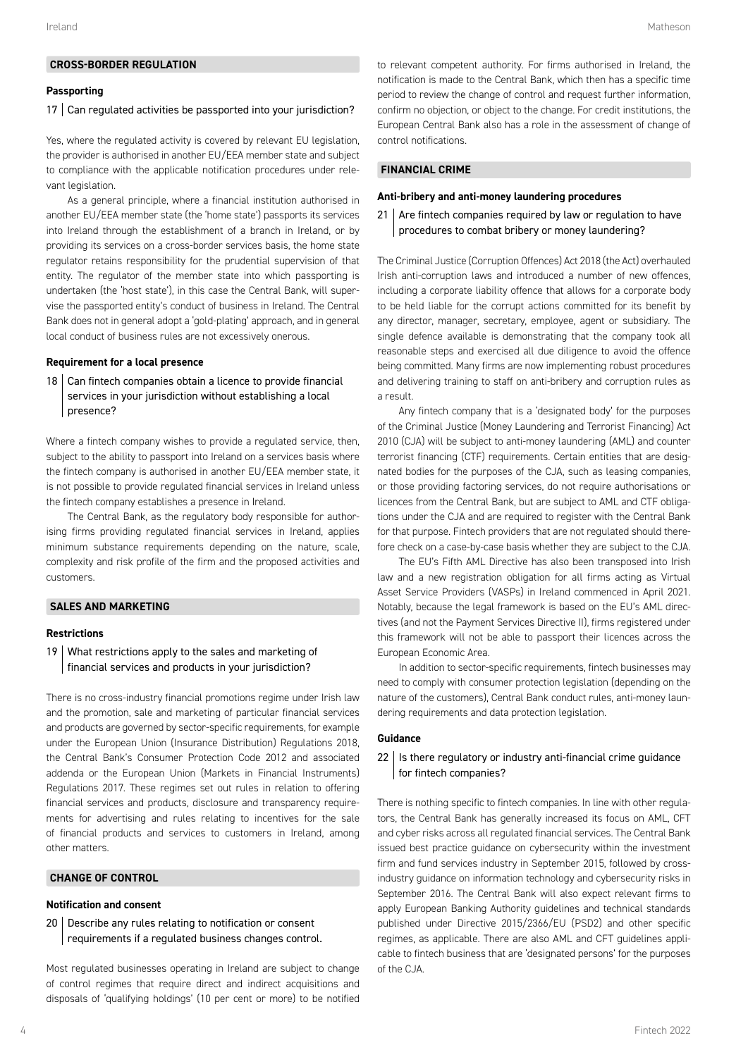# **CROSS-BORDER REGULATION**

# **Passporting**

#### 17 | Can regulated activities be passported into your jurisdiction?

Yes, where the regulated activity is covered by relevant EU legislation, the provider is authorised in another EU/EEA member state and subject to compliance with the applicable notification procedures under relevant legislation.

As a general principle, where a financial institution authorised in another EU/EEA member state (the 'home state') passports its services into Ireland through the establishment of a branch in Ireland, or by providing its services on a cross-border services basis, the home state regulator retains responsibility for the prudential supervision of that entity. The regulator of the member state into which passporting is undertaken (the 'host state'), in this case the Central Bank, will supervise the passported entity's conduct of business in Ireland. The Central Bank does not in general adopt a 'gold-plating' approach, and in general local conduct of business rules are not excessively onerous.

#### **Requirement for a local presence**

 $18$  Can fintech companies obtain a licence to provide financial services in your jurisdiction without establishing a local presence?

Where a fintech company wishes to provide a regulated service, then, subject to the ability to passport into Ireland on a services basis where the fintech company is authorised in another EU/EEA member state, it is not possible to provide regulated financial services in Ireland unless the fintech company establishes a presence in Ireland.

The Central Bank, as the regulatory body responsible for authorising firms providing regulated financial services in Ireland, applies minimum substance requirements depending on the nature, scale, complexity and risk profile of the firm and the proposed activities and customers.

# **SALES AND MARKETING**

#### **Restrictions**

19 What restrictions apply to the sales and marketing of financial services and products in your jurisdiction?

There is no cross-industry financial promotions regime under Irish law and the promotion, sale and marketing of particular financial services and products are governed by sector-specific requirements, for example under the European Union (Insurance Distribution) Regulations 2018, the Central Bank's Consumer Protection Code 2012 and associated addenda or the European Union (Markets in Financial Instruments) Regulations 2017. These regimes set out rules in relation to offering financial services and products, disclosure and transparency requirements for advertising and rules relating to incentives for the sale of financial products and services to customers in Ireland, among other matters.

# **CHANGE OF CONTROL**

#### **Notification and consent**

20 Describe any rules relating to notification or consent requirements if a regulated business changes control.

Most regulated businesses operating in Ireland are subject to change of control regimes that require direct and indirect acquisitions and disposals of 'qualifying holdings' (10 per cent or more) to be notified to relevant competent authority. For firms authorised in Ireland, the notification is made to the Central Bank, which then has a specific time period to review the change of control and request further information, confirm no objection, or object to the change. For credit institutions, the European Central Bank also has a role in the assessment of change of control notifications.

# **FINANCIAL CRIME**

#### **Anti-bribery and anti-money laundering procedures**

# $21$  Are fintech companies required by law or regulation to have procedures to combat bribery or money laundering?

The Criminal Justice (Corruption Offences) Act 2018 (the Act) overhauled Irish anti-corruption laws and introduced a number of new offences, including a corporate liability offence that allows for a corporate body to be held liable for the corrupt actions committed for its benefit by any director, manager, secretary, employee, agent or subsidiary. The single defence available is demonstrating that the company took all reasonable steps and exercised all due diligence to avoid the offence being committed. Many firms are now implementing robust procedures and delivering training to staff on anti-bribery and corruption rules as a result.

Any fintech company that is a 'designated body' for the purposes of the Criminal Justice (Money Laundering and Terrorist Financing) Act 2010 (CJA) will be subject to anti-money laundering (AML) and counter terrorist financing (CTF) requirements. Certain entities that are designated bodies for the purposes of the CJA, such as leasing companies, or those providing factoring services, do not require authorisations or licences from the Central Bank, but are subject to AML and CTF obligations under the CJA and are required to register with the Central Bank for that purpose. Fintech providers that are not regulated should therefore check on a case-by-case basis whether they are subject to the CJA.

The EU's Fifth AML Directive has also been transposed into Irish law and a new registration obligation for all firms acting as Virtual Asset Service Providers (VASPs) in Ireland commenced in April 2021. Notably, because the legal framework is based on the EU's AML directives (and not the Payment Services Directive II), firms registered under this framework will not be able to passport their licences across the European Economic Area.

In addition to sector-specific requirements, fintech businesses may need to comply with consumer protection legislation (depending on the nature of the customers), Central Bank conduct rules, anti-money laundering requirements and data protection legislation.

#### **Guidance**

# $22$  | Is there regulatory or industry anti-financial crime guidance for fintech companies?

There is nothing specific to fintech companies. In line with other regulators, the Central Bank has generally increased its focus on AML, CFT and cyber risks across all regulated financial services. The Central Bank issued best practice guidance on cybersecurity within the investment firm and fund services industry in September 2015, followed by crossindustry guidance on information technology and cybersecurity risks in September 2016. The Central Bank will also expect relevant firms to apply European Banking Authority guidelines and technical standards published under Directive 2015/2366/EU (PSD2) and other specific regimes, as applicable. There are also AML and CFT guidelines applicable to fintech business that are 'designated persons' for the purposes of the CJA.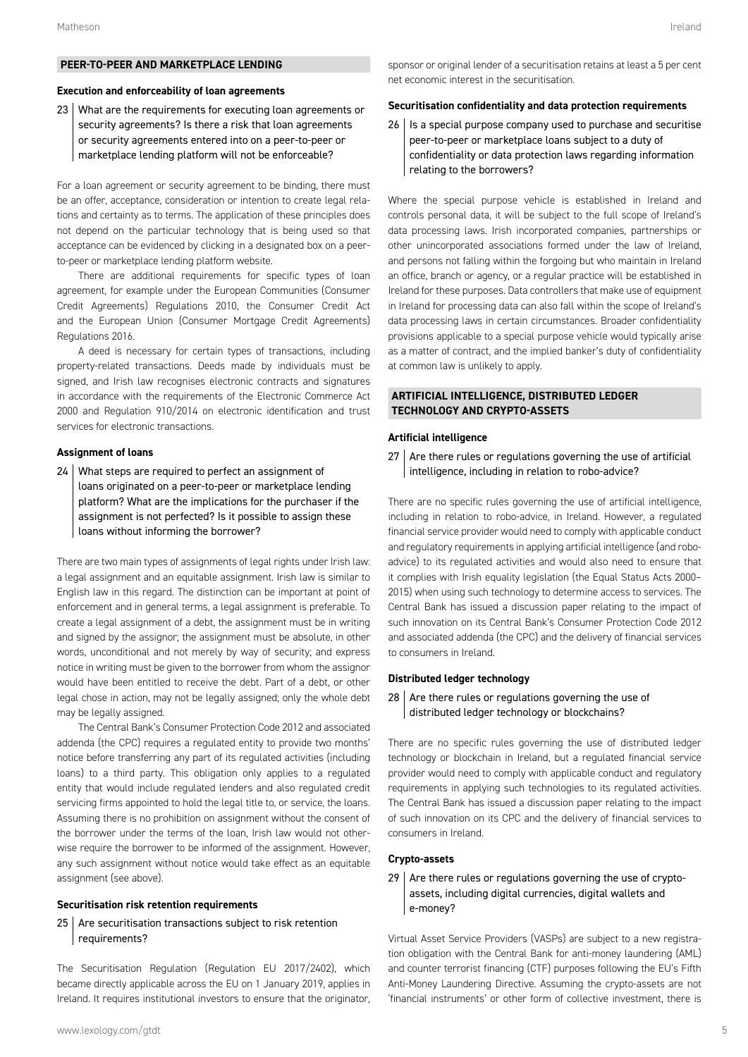# **PEER-TO-PEER AND MARKETPLACE LENDING**

#### **Execution and enforceability of loan agreements**

23 What are the requirements for executing loan agreements or security agreements? Is there a risk that loan agreements or security agreements entered into on a peer-to-peer or marketplace lending platform will not be enforceable?

For a loan agreement or security agreement to be binding, there must be an offer, acceptance, consideration or intention to create legal relations and certainty as to terms. The application of these principles does not depend on the particular technology that is being used so that acceptance can be evidenced by clicking in a designated box on a peerto-peer or marketplace lending platform website.

There are additional requirements for specific types of loan agreement, for example under the European Communities (Consumer Credit Agreements) Regulations 2010, the Consumer Credit Act and the European Union (Consumer Mortgage Credit Agreements) Regulations 2016.

A deed is necessary for certain types of transactions, including property-related transactions. Deeds made by individuals must be signed, and Irish law recognises electronic contracts and signatures in accordance with the requirements of the Electronic Commerce Act 2000 and Regulation 910/2014 on electronic identification and trust services for electronic transactions.

#### **Assignment of loans**

24 What steps are required to perfect an assignment of loans originated on a peer-to-peer or marketplace lending platform? What are the implications for the purchaser if the assignment is not perfected? Is it possible to assign these loans without informing the borrower?

There are two main types of assignments of legal rights under Irish law: a legal assignment and an equitable assignment. Irish law is similar to English law in this regard. The distinction can be important at point of enforcement and in general terms, a legal assignment is preferable. To create a legal assignment of a debt, the assignment must be in writing and signed by the assignor; the assignment must be absolute, in other words, unconditional and not merely by way of security; and express notice in writing must be given to the borrower from whom the assignor would have been entitled to receive the debt. Part of a debt, or other legal chose in action, may not be legally assigned; only the whole debt may be legally assigned.

The Central Bank's Consumer Protection Code 2012 and associated addenda (the CPC) requires a regulated entity to provide two months' notice before transferring any part of its regulated activities (including loans) to a third party. This obligation only applies to a regulated entity that would include regulated lenders and also regulated credit servicing firms appointed to hold the legal title to, or service, the loans. Assuming there is no prohibition on assignment without the consent of the borrower under the terms of the loan, Irish law would not otherwise require the borrower to be informed of the assignment. However, any such assignment without notice would take effect as an equitable assignment (see above).

#### **Securitisation risk retention requirements**

 $25$  Are securitisation transactions subject to risk retention requirements?

The Securitisation Regulation (Regulation EU 2017/2402), which became directly applicable across the EU on 1 January 2019, applies in Ireland. It requires institutional investors to ensure that the originator, sponsor or original lender of a securitisation retains at least a 5 per cent net economic interest in the securitisation.

# **Securitisation confidentiality and data protection requirements**

 $26$  | Is a special purpose company used to purchase and securitise peer-to-peer or marketplace loans subject to a duty of confidentiality or data protection laws regarding information relating to the borrowers?

Where the special purpose vehicle is established in Ireland and controls personal data, it will be subject to the full scope of Ireland's data processing laws. Irish incorporated companies, partnerships or other unincorporated associations formed under the law of Ireland, and persons not falling within the forgoing but who maintain in Ireland an office, branch or agency, or a regular practice will be established in Ireland for these purposes. Data controllers that make use of equipment in Ireland for processing data can also fall within the scope of Ireland's data processing laws in certain circumstances. Broader confidentiality provisions applicable to a special purpose vehicle would typically arise as a matter of contract, and the implied banker's duty of confidentiality at common law is unlikely to apply.

# **ARTIFICIAL INTELLIGENCE, DISTRIBUTED LEDGER TECHNOLOGY AND CRYPTO-ASSETS**

# **Artificial intelligence**

 $27$  Are there rules or regulations governing the use of artificial intelligence, including in relation to robo-advice?

There are no specific rules governing the use of artificial intelligence, including in relation to robo-advice, in Ireland. However, a regulated financial service provider would need to comply with applicable conduct and regulatory requirements in applying artificial intelligence (and roboadvice) to its regulated activities and would also need to ensure that it complies with Irish equality legislation (the Equal Status Acts 2000– 2015) when using such technology to determine access to services. The Central Bank has issued a discussion paper relating to the impact of such innovation on its Central Bank's Consumer Protection Code 2012 and associated addenda (the CPC) and the delivery of financial services to consumers in Ireland.

#### **Distributed ledger technology**

 $28$  Are there rules or regulations governing the use of distributed ledger technology or blockchains?

There are no specific rules governing the use of distributed ledger technology or blockchain in Ireland, but a regulated financial service provider would need to comply with applicable conduct and regulatory requirements in applying such technologies to its regulated activities. The Central Bank has issued a discussion paper relating to the impact of such innovation on its CPC and the delivery of financial services to consumers in Ireland.

#### **Crypto-assets**

 $29$  Are there rules or regulations governing the use of cryptoassets, including digital currencies, digital wallets and e-money?

Virtual Asset Service Providers (VASPs) are subject to a new registration obligation with the Central Bank for anti-money laundering (AML) and counter terrorist financing (CTF) purposes following the EU's Fifth Anti-Money Laundering Directive. Assuming the crypto-assets are not 'financial instruments' or other form of collective investment, there is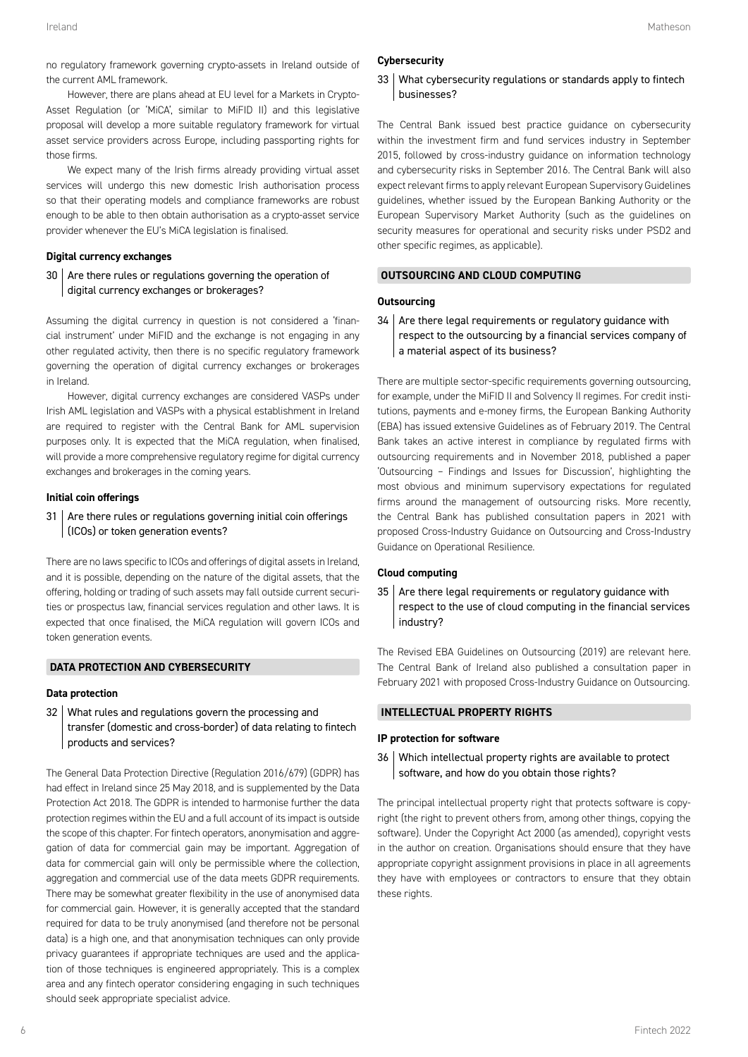no regulatory framework governing crypto-assets in Ireland outside of the current AML framework.

However, there are plans ahead at EU level for a Markets in Crypto-Asset Regulation (or 'MiCA', similar to MiFID II) and this legislative proposal will develop a more suitable regulatory framework for virtual asset service providers across Europe, including passporting rights for those firms.

We expect many of the Irish firms already providing virtual asset services will undergo this new domestic Irish authorisation process so that their operating models and compliance frameworks are robust enough to be able to then obtain authorisation as a crypto-asset service provider whenever the EU's MiCA legislation is finalised.

# **Digital currency exchanges**

30 Are there rules or regulations governing the operation of digital currency exchanges or brokerages?

Assuming the digital currency in question is not considered a 'financial instrument' under MiFID and the exchange is not engaging in any other regulated activity, then there is no specific regulatory framework governing the operation of digital currency exchanges or brokerages in Ireland.

However, digital currency exchanges are considered VASPs under Irish AML legislation and VASPs with a physical establishment in Ireland are required to register with the Central Bank for AML supervision purposes only. It is expected that the MiCA regulation, when finalised, will provide a more comprehensive regulatory regime for digital currency exchanges and brokerages in the coming years.

#### **Initial coin offerings**

 $31$  Are there rules or regulations governing initial coin offerings (ICOs) or token generation events?

There are no laws specific to ICOs and offerings of digital assets in Ireland, and it is possible, depending on the nature of the digital assets, that the offering, holding or trading of such assets may fall outside current securities or prospectus law, financial services regulation and other laws. It is expected that once finalised, the MiCA regulation will govern ICOs and token generation events.

# **DATA PROTECTION AND CYBERSECURITY**

# **Data protection**

32 What rules and regulations govern the processing and transfer (domestic and cross-border) of data relating to fintech products and services?

The General Data Protection Directive (Regulation 2016/679) (GDPR) has had effect in Ireland since 25 May 2018, and is supplemented by the Data Protection Act 2018. The GDPR is intended to harmonise further the data protection regimes within the EU and a full account of its impact is outside the scope of this chapter. For fintech operators, anonymisation and aggregation of data for commercial gain may be important. Aggregation of data for commercial gain will only be permissible where the collection, aggregation and commercial use of the data meets GDPR requirements. There may be somewhat greater flexibility in the use of anonymised data for commercial gain. However, it is generally accepted that the standard required for data to be truly anonymised (and therefore not be personal data) is a high one, and that anonymisation techniques can only provide privacy guarantees if appropriate techniques are used and the application of those techniques is engineered appropriately. This is a complex area and any fintech operator considering engaging in such techniques should seek appropriate specialist advice.

# **Cybersecurity**

# 33 What cybersecurity regulations or standards apply to fintech businesses?

The Central Bank issued best practice guidance on cybersecurity within the investment firm and fund services industry in September 2015, followed by cross-industry guidance on information technology and cybersecurity risks in September 2016. The Central Bank will also expect relevant firms to apply relevant European Supervisory Guidelines guidelines, whether issued by the European Banking Authority or the European Supervisory Market Authority (such as the guidelines on security measures for operational and security risks under PSD2 and other specific regimes, as applicable).

### **OUTSOURCING AND CLOUD COMPUTING**

#### **Outsourcing**

 $34$  Are there legal requirements or regulatory guidance with respect to the outsourcing by a financial services company of a material aspect of its business?

There are multiple sector-specific requirements governing outsourcing, for example, under the MiFID II and Solvency II regimes. For credit institutions, payments and e-money firms, the European Banking Authority (EBA) has issued extensive Guidelines as of February 2019. The Central Bank takes an active interest in compliance by regulated firms with outsourcing requirements and in November 2018, published a paper 'Outsourcing – Findings and Issues for Discussion', highlighting the most obvious and minimum supervisory expectations for regulated firms around the management of outsourcing risks. More recently, the Central Bank has published consultation papers in 2021 with proposed Cross-Industry Guidance on Outsourcing and Cross-Industry Guidance on Operational Resilience.

#### **Cloud computing**

 $35$  Are there legal requirements or regulatory guidance with respect to the use of cloud computing in the financial services industry?

The Revised EBA Guidelines on Outsourcing (2019) are relevant here. The Central Bank of Ireland also published a consultation paper in February 2021 with proposed Cross-Industry Guidance on Outsourcing.

# **INTELLECTUAL PROPERTY RIGHTS**

#### **IP protection for software**

36 Which intellectual property rights are available to protect software, and how do you obtain those rights?

The principal intellectual property right that protects software is copyright (the right to prevent others from, among other things, copying the software). Under the Copyright Act 2000 (as amended), copyright vests in the author on creation. Organisations should ensure that they have appropriate copyright assignment provisions in place in all agreements they have with employees or contractors to ensure that they obtain these rights.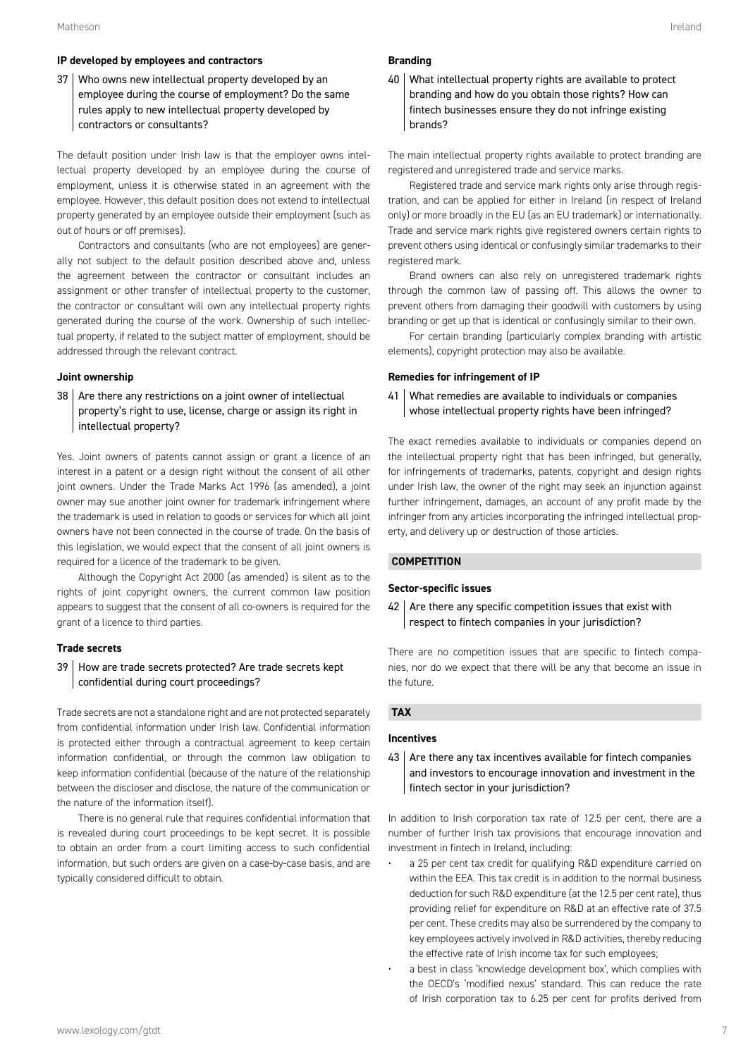### **IP developed by employees and contractors**

37 Who owns new intellectual property developed by an employee during the course of employment? Do the same rules apply to new intellectual property developed by contractors or consultants?

The default position under Irish law is that the employer owns intellectual property developed by an employee during the course of employment, unless it is otherwise stated in an agreement with the employee. However, this default position does not extend to intellectual property generated by an employee outside their employment (such as out of hours or off premises).

Contractors and consultants (who are not employees) are generally not subject to the default position described above and, unless the agreement between the contractor or consultant includes an assignment or other transfer of intellectual property to the customer, the contractor or consultant will own any intellectual property rights generated during the course of the work. Ownership of such intellectual property, if related to the subject matter of employment, should be addressed through the relevant contract.

# **Joint ownership**

38 | Are there any restrictions on a joint owner of intellectual property's right to use, license, charge or assign its right in intellectual property?

Yes. Joint owners of patents cannot assign or grant a licence of an interest in a patent or a design right without the consent of all other joint owners. Under the Trade Marks Act 1996 (as amended), a joint owner may sue another joint owner for trademark infringement where the trademark is used in relation to goods or services for which all joint owners have not been connected in the course of trade. On the basis of this legislation, we would expect that the consent of all joint owners is required for a licence of the trademark to be given.

Although the Copyright Act 2000 (as amended) is silent as to the rights of joint copyright owners, the current common law position appears to suggest that the consent of all co-owners is required for the grant of a licence to third parties.

# **Trade secrets**

# 39 How are trade secrets protected? Are trade secrets kept confidential during court proceedings?

Trade secrets are not a standalone right and are not protected separately from confidential information under Irish law. Confidential information is protected either through a contractual agreement to keep certain information confidential, or through the common law obligation to keep information confidential (because of the nature of the relationship between the discloser and disclose, the nature of the communication or the nature of the information itself).

There is no general rule that requires confidential information that is revealed during court proceedings to be kept secret. It is possible to obtain an order from a court limiting access to such confidential information, but such orders are given on a case-by-case basis, and are typically considered difficult to obtain.

#### **Branding**

40 What intellectual property rights are available to protect branding and how do you obtain those rights? How can fintech businesses ensure they do not infringe existing brands?

The main intellectual property rights available to protect branding are registered and unregistered trade and service marks.

Registered trade and service mark rights only arise through registration, and can be applied for either in Ireland (in respect of Ireland only) or more broadly in the EU (as an EU trademark) or internationally. Trade and service mark rights give registered owners certain rights to prevent others using identical or confusingly similar trademarks to their registered mark.

Brand owners can also rely on unregistered trademark rights through the common law of passing off. This allows the owner to prevent others from damaging their goodwill with customers by using branding or get up that is identical or confusingly similar to their own.

For certain branding (particularly complex branding with artistic elements), copyright protection may also be available.

# **Remedies for infringement of IP**

41 What remedies are available to individuals or companies whose intellectual property rights have been infringed?

The exact remedies available to individuals or companies depend on the intellectual property right that has been infringed, but generally, for infringements of trademarks, patents, copyright and design rights under Irish law, the owner of the right may seek an injunction against further infringement, damages, an account of any profit made by the infringer from any articles incorporating the infringed intellectual property, and delivery up or destruction of those articles.

# **COMPETITION**

#### **Sector-specific issues**

 $42$  Are there any specific competition issues that exist with respect to fintech companies in your jurisdiction?

There are no competition issues that are specific to fintech companies, nor do we expect that there will be any that become an issue in the future.

# **TAX**

#### **Incentives**

 $43$  Are there any tax incentives available for fintech companies and investors to encourage innovation and investment in the fintech sector in your jurisdiction?

In addition to Irish corporation tax rate of 12.5 per cent, there are a number of further Irish tax provisions that encourage innovation and investment in fintech in Ireland, including:

- a 25 per cent tax credit for qualifying R&D expenditure carried on within the EEA. This tax credit is in addition to the normal business deduction for such R&D expenditure (at the 12.5 per cent rate), thus providing relief for expenditure on R&D at an effective rate of 37.5 per cent. These credits may also be surrendered by the company to key employees actively involved in R&D activities, thereby reducing the effective rate of Irish income tax for such employees;
- a best in class 'knowledge development box', which complies with the OECD's 'modified nexus' standard. This can reduce the rate of Irish corporation tax to 6.25 per cent for profits derived from